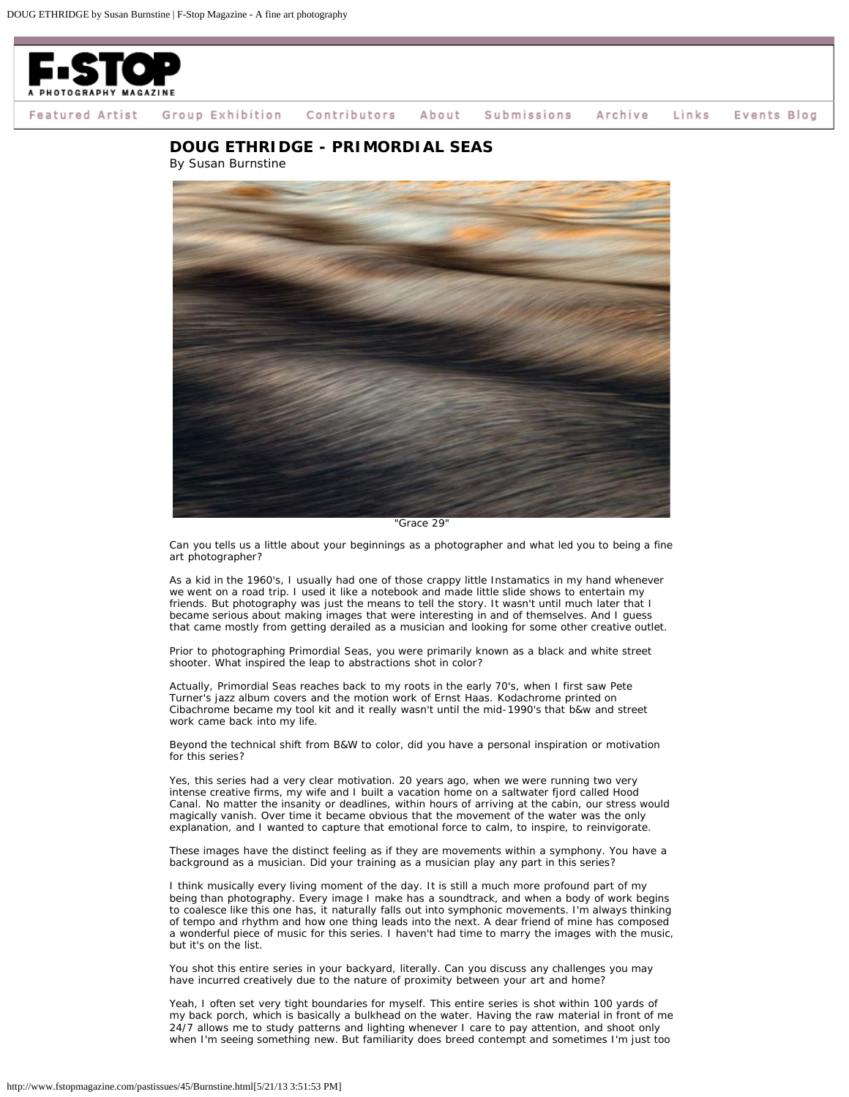

Group Exhibition Contributors Events Blog Featured Artist About Submissions Archive Links

**DOUG ETHRIDGE - PRIMORDIAL SEAS**



*Can you tells us a little about your beginnings as a photographer and what led you to being a fine art photographer?*

As a kid in the 1960's, I usually had one of those crappy little Instamatics in my hand whenever we went on a road trip. I used it like a notebook and made little slide shows to entertain my friends. But photography was just the means to tell the story. It wasn't until much later that I became serious about making images that were interesting in and of themselves. And I guess that came mostly from getting derailed as a musician and looking for some other creative outlet.

*Prior to photographing Primordial Seas, you were primarily known as a black and white street shooter. What inspired the leap to abstractions shot in color?*

Actually, Primordial Seas reaches back to my roots in the early 70's, when I first saw Pete Turner's jazz album covers and the motion work of Ernst Haas. Kodachrome printed on Cibachrome became my tool kit and it really wasn't until the mid-1990's that b&w and street work came back into my life.

*Beyond the technical shift from B&W to color, did you have a personal inspiration or motivation for this series?*

Yes, this series had a very clear motivation. 20 years ago, when we were running two very intense creative firms, my wife and I built a vacation home on a saltwater fjord called Hood Canal. No matter the insanity or deadlines, within hours of arriving at the cabin, our stress would magically vanish. Over time it became obvious that the movement of the water was the only explanation, and I wanted to capture that emotional force to calm, to inspire, to reinvigorate.

*These images have the distinct feeling as if they are movements within a symphony. You have a background as a musician. Did your training as a musician play any part in this series?*

I think musically every living moment of the day. It is still a much more profound part of my being than photography. Every image I make has a soundtrack, and when a body of work begins to coalesce like this one has, it naturally falls out into symphonic movements. I'm always thinking of tempo and rhythm and how one thing leads into the next. A dear friend of mine has composed a wonderful piece of music for this series. I haven't had time to marry the images with the music, but it's on the list.

*You shot this entire series in your backyard, literally. Can you discuss any challenges you may have incurred creatively due to the nature of proximity between your art and home?*

Yeah, I often set very tight boundaries for myself. This entire series is shot within 100 yards of my back porch, which is basically a bulkhead on the water. Having the raw material in front of me 24/7 allows me to study patterns and lighting whenever I care to pay attention, and shoot only when I'm seeing something new. But familiarity does breed contempt and sometimes I'm just too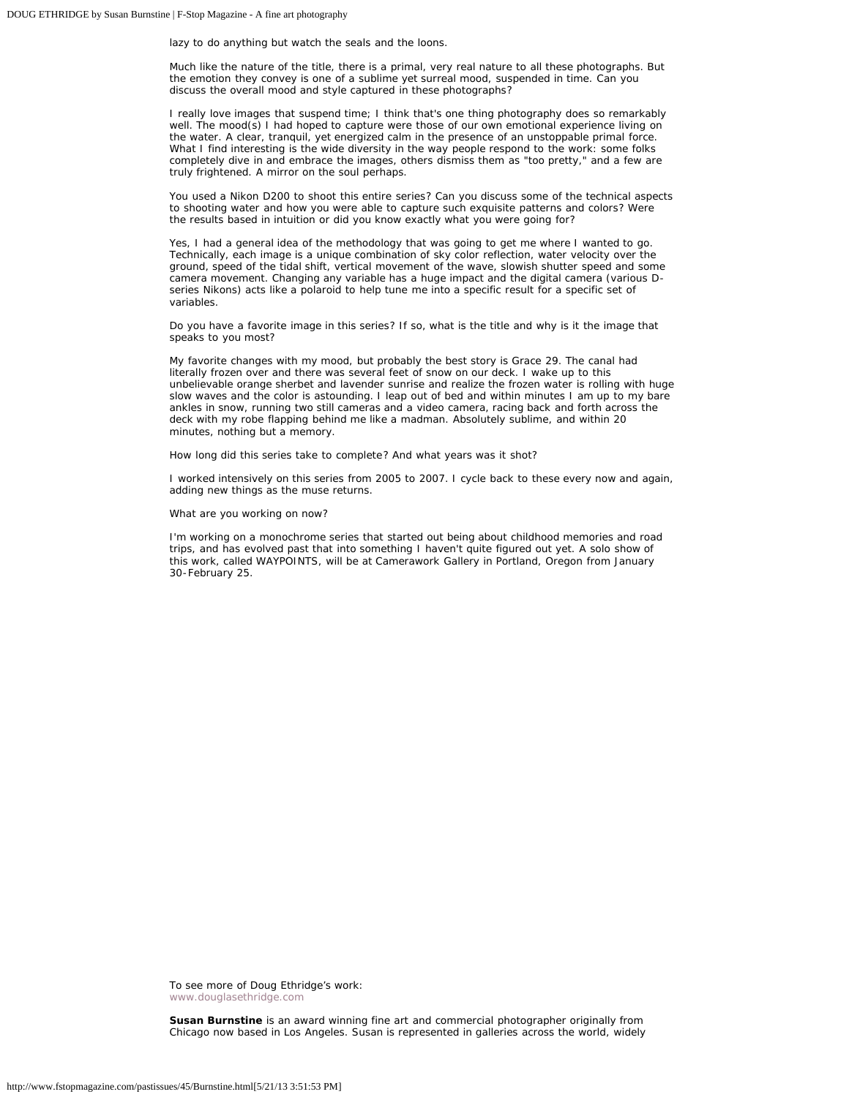lazy to do anything but watch the seals and the loons.

*Much like the nature of the title, there is a primal, very real nature to all these photographs. But the emotion they convey is one of a sublime yet surreal mood, suspended in time. Can you discuss the overall mood and style captured in these photographs?*

I really love images that suspend time; I think that's one thing photography does so remarkably well. The mood(s) I had hoped to capture were those of our own emotional experience living on the water. A clear, tranquil, yet energized calm in the presence of an unstoppable primal force. What I find interesting is the wide diversity in the way people respond to the work: some folks completely dive in and embrace the images, others dismiss them as "too pretty," and a few are truly frightened. A mirror on the soul perhaps.

*You used a Nikon D200 to shoot this entire series? Can you discuss some of the technical aspects to shooting water and how you were able to capture such exquisite patterns and colors? Were the results based in intuition or did you know exactly what you were going for?*

Yes, I had a general idea of the methodology that was going to get me where I wanted to go. Technically, each image is a unique combination of sky color reflection, water velocity over the ground, speed of the tidal shift, vertical movement of the wave, slowish shutter speed and some camera movement. Changing any variable has a huge impact and the digital camera (various Dseries Nikons) acts like a polaroid to help tune me into a specific result for a specific set of variables.

*Do you have a favorite image in this series? If so, what is the title and why is it the image that speaks to you most?*

My favorite changes with my mood, but probably the best story is Grace 29. The canal had literally frozen over and there was several feet of snow on our deck. I wake up to this unbelievable orange sherbet and lavender sunrise and realize the frozen water is rolling with huge slow waves and the color is astounding. I leap out of bed and within minutes I am up to my bare ankles in snow, running two still cameras and a video camera, racing back and forth across the deck with my robe flapping behind me like a madman. Absolutely sublime, and within 20 minutes, nothing but a memory.

*How long did this series take to complete? And what years was it shot?*

I worked intensively on this series from 2005 to 2007. I cycle back to these every now and again, adding new things as the muse returns.

*What are you working on now?*

I'm working on a monochrome series that started out being about childhood memories and road trips, and has evolved past that into something I haven't quite figured out yet. A solo show of this work, called WAYPOINTS, will be at Camerawork Gallery in Portland, Oregon from January 30-February 25.

To see more of Doug Ethridge's work: [www.douglasethridge.com](http://www.douglasethridge.com/)

**Susan Burnstine** is an award winning fine art and commercial photographer originally from Chicago now based in Los Angeles. Susan is represented in galleries across the world, widely